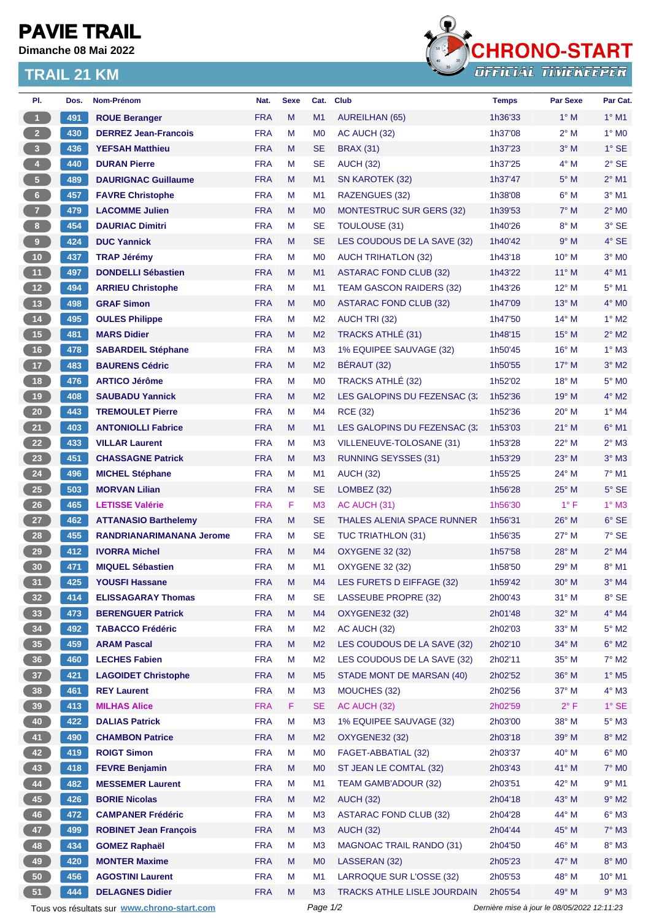## **PAVIE TRAIL**

**Dimanche 08 Mai 2022**

## **TRAIL 21 KM**



| PI.                                                                                                    | Dos. | Nom-Prénom                      | Nat.       | <b>Sexe</b> | Cat.           | <b>Club</b>                        | <b>Temps</b> | <b>Par Sexe</b> | Par Cat.            |
|--------------------------------------------------------------------------------------------------------|------|---------------------------------|------------|-------------|----------------|------------------------------------|--------------|-----------------|---------------------|
| $\vert$                                                                                                | 491  | <b>ROUE Beranger</b>            | <b>FRA</b> | M           | M1             | <b>AUREILHAN (65)</b>              | 1h36'33      | $1^\circ$ M     | $1^\circ$ M1        |
| $2 -$                                                                                                  | 430  | <b>DERREZ Jean-Francois</b>     | <b>FRA</b> | М           | M <sub>0</sub> | AC AUCH (32)                       | 1h37'08      | $2^{\circ}$ M   | $1^\circ$ MO        |
| 3 <sup>7</sup>                                                                                         | 436  | <b>YEFSAH Matthieu</b>          | <b>FRA</b> | M           | <b>SE</b>      | <b>BRAX (31)</b>                   | 1h37'23      | $3^\circ$ M     | $1^\circ$ SE        |
| $\overline{4}$                                                                                         | 440  | <b>DURAN Pierre</b>             | <b>FRA</b> | М           | <b>SE</b>      | <b>AUCH (32)</b>                   | 1h37'25      | $4^\circ$ M     | $2°$ SE             |
| $\sqrt{5}$                                                                                             | 489  | <b>DAURIGNAC Guillaume</b>      | <b>FRA</b> | M           | M1             | SN KAROTEK (32)                    | 1h37'47      | $5^\circ$ M     | $2^{\circ}$ M1      |
| $6 -$                                                                                                  | 457  | <b>FAVRE Christophe</b>         | <b>FRA</b> | М           | M1             | RAZENGUES (32)                     | 1h38'08      | $6^\circ$ M     | $3°$ M1             |
| 7 <sup>2</sup>                                                                                         | 479  | <b>LACOMME Julien</b>           | <b>FRA</b> | M           | M <sub>0</sub> | <b>MONTESTRUC SUR GERS (32)</b>    | 1h39'53      | $7^\circ$ M     | $2^{\circ}$ MO      |
| 8                                                                                                      | 454  | <b>DAURIAC Dimitri</b>          | <b>FRA</b> | М           | <b>SE</b>      | <b>TOULOUSE (31)</b>               | 1h40'26      | $8^\circ$ M     | 3° SE               |
| 9 <sup>°</sup>                                                                                         | 424  | <b>DUC Yannick</b>              | <b>FRA</b> | M           | <b>SE</b>      | LES COUDOUS DE LA SAVE (32)        | 1h40'42      | 9° M            | $4^\circ$ SE        |
| 10 <sub>1</sub>                                                                                        | 437  | <b>TRAP Jérémy</b>              | <b>FRA</b> | M           | M <sub>0</sub> | <b>AUCH TRIHATLON (32)</b>         | 1h43'18      | 10° M           | $3°$ MO             |
| 11                                                                                                     | 497  | <b>DONDELLI Sébastien</b>       | <b>FRA</b> | M           | M1             | <b>ASTARAC FOND CLUB (32)</b>      | 1h43'22      | $11^{\circ}$ M  | $4°$ M1             |
| 12                                                                                                     | 494  | <b>ARRIEU Christophe</b>        | <b>FRA</b> | М           | M1             | <b>TEAM GASCON RAIDERS (32)</b>    | 1h43'26      | $12^{\circ}$ M  | $5^\circ$ M1        |
| $13$                                                                                                   | 498  | <b>GRAF Simon</b>               | <b>FRA</b> | M           | M <sub>0</sub> | <b>ASTARAC FOND CLUB (32)</b>      | 1h47'09      | $13^{\circ}$ M  | $4^\circ$ MO        |
| 14                                                                                                     | 495  | <b>OULES Philippe</b>           | <b>FRA</b> | М           | M <sub>2</sub> | <b>AUCH TRI (32)</b>               | 1h47'50      | $14^{\circ}$ M  | $1^\circ$ M2        |
| 15                                                                                                     | 481  | <b>MARS Didier</b>              | <b>FRA</b> | M           | M <sub>2</sub> | TRACKS ATHLÉ (31)                  | 1h48'15      | $15^{\circ}$ M  | $2^{\circ}$ M2      |
| $16$                                                                                                   | 478  | <b>SABARDEIL Stéphane</b>       | <b>FRA</b> | М           | M <sub>3</sub> | 1% EQUIPEE SAUVAGE (32)            | 1h50'45      | 16° M           | $1^\circ$ M3        |
| 17 <sup>°</sup>                                                                                        | 483  | <b>BAURENS Cédric</b>           | <b>FRA</b> | M           | M <sub>2</sub> | BÉRAUT (32)                        | 1h50'55      | $17^{\circ}$ M  | $3°$ M2             |
| 18                                                                                                     | 476  | <b>ARTICO Jérôme</b>            | <b>FRA</b> | М           | M <sub>0</sub> | TRACKS ATHLÉ (32)                  | 1h52'02      | $18^{\circ}$ M  | $5^\circ$ MO        |
| 19                                                                                                     | 408  | <b>SAUBADU Yannick</b>          | <b>FRA</b> | M           | M <sub>2</sub> | LES GALOPINS DU FEZENSAC (3)       | 1h52'36      | $19°$ M         | $4^\circ$ M2        |
| $20\,$                                                                                                 | 443  | <b>TREMOULET Pierre</b>         | <b>FRA</b> | М           | M4             | <b>RCE (32)</b>                    | 1h52'36      | 20° M           | $1^\circ$ M4        |
| 21                                                                                                     | 403  | <b>ANTONIOLLI Fabrice</b>       | <b>FRA</b> | M           | M1             | LES GALOPINS DU FEZENSAC (3:       | 1h53'03      | $21°$ M         | $6^{\circ}$ M1      |
| 22                                                                                                     | 433  | <b>VILLAR Laurent</b>           | <b>FRA</b> | М           | M <sub>3</sub> | VILLENEUVE-TOLOSANE (31)           | 1h53'28      | 22° M           | $2^{\circ}$ M3      |
| 23                                                                                                     | 451  | <b>CHASSAGNE Patrick</b>        | <b>FRA</b> | M           | M <sub>3</sub> | <b>RUNNING SEYSSES (31)</b>        | 1h53'29      | 23° M           | $3°$ M <sub>3</sub> |
| 24                                                                                                     | 496  | <b>MICHEL Stéphane</b>          | <b>FRA</b> | М           | M1             | <b>AUCH (32)</b>                   | 1h55'25      | 24° M           | $7^\circ$ M1        |
| 25                                                                                                     | 503  | <b>MORVAN Lilian</b>            | <b>FRA</b> | M           | <b>SE</b>      | LOMBEZ (32)                        | 1h56'28      | $25^{\circ}$ M  | $5^\circ$ SE        |
| 26                                                                                                     | 465  | <b>LETISSE Valérie</b>          | <b>FRA</b> | F.          | M <sub>3</sub> | AC AUCH (31)                       | 1h56'30      | $1^{\circ}$ F   | $1^\circ$ M3        |
| 27                                                                                                     | 462  | <b>ATTANASIO Barthelemy</b>     | <b>FRA</b> | M           | <b>SE</b>      | <b>THALES ALENIA SPACE RUNNER</b>  | 1h56'31      | 26° M           | $6°$ SE             |
| 28                                                                                                     | 455  | <b>RANDRIANARIMANANA Jerome</b> | <b>FRA</b> | М           | <b>SE</b>      | <b>TUC TRIATHLON (31)</b>          | 1h56'35      | $27^\circ$ M    | $7°$ SE             |
| 29                                                                                                     | 412  | <b>IVORRA Michel</b>            | <b>FRA</b> | M           | M4             | <b>OXYGENE 32 (32)</b>             | 1h57'58      | 28° M           | $2^{\circ}$ M4      |
| 30                                                                                                     | 471  | <b>MIQUEL Sébastien</b>         | <b>FRA</b> | М           | M1             | <b>OXYGENE 32 (32)</b>             | 1h58'50      | $29°$ M         | $8^\circ$ M1        |
| 31)                                                                                                    | 425  | <b>YOUSFI Hassane</b>           | <b>FRA</b> | M           |                | M4 LES FURETS D EIFFAGE (32)       | 1h59'42      | 30° M           | $3°$ M4             |
| 32 <sub>2</sub>                                                                                        | 414  | <b>ELISSAGARAY Thomas</b>       | <b>FRA</b> | M           | SE             | LASSEUBE PROPRE (32)               | 2h00'43      | $31°$ M         | 8° SE               |
| 33                                                                                                     | 473  | <b>BERENGUER Patrick</b>        | <b>FRA</b> | M           | M4             | OXYGENE32 (32)                     | 2h01'48      | 32° M           | $4^\circ$ M4        |
| 34                                                                                                     | 492  | <b>TABACCO Frédéric</b>         | <b>FRA</b> | М           | M <sub>2</sub> | AC AUCH (32)                       | 2h02'03      | $33^\circ$ M    | $5^\circ$ M2        |
| 35                                                                                                     | 459  | <b>ARAM Pascal</b>              | <b>FRA</b> | M           | M <sub>2</sub> | LES COUDOUS DE LA SAVE (32)        | 2h02'10      | 34° M           | $6^\circ$ M2        |
| 36                                                                                                     | 460  | <b>LECHES Fabien</b>            | <b>FRA</b> | M           | M <sub>2</sub> | LES COUDOUS DE LA SAVE (32)        | 2h02'11      | 35° M           | $7^\circ$ M2        |
| 37 <sup>°</sup>                                                                                        | 421  | <b>LAGOIDET Christophe</b>      | <b>FRA</b> | M           | M <sub>5</sub> | STADE MONT DE MARSAN (40)          | 2h02'52      | 36° M           | $1^\circ$ M5        |
| 38                                                                                                     | 461  | <b>REY Laurent</b>              | <b>FRA</b> | M           | M <sub>3</sub> | MOUCHES (32)                       | 2h02'56      | 37° M           | $4^\circ$ M3        |
| 39                                                                                                     | 413  | <b>MILHAS Alice</b>             | <b>FRA</b> | F.          | <b>SE</b>      | AC AUCH (32)                       | 2h02'59      | $2^{\circ}$ F   | $1^\circ$ SE        |
| 40                                                                                                     | 422  | <b>DALIAS Patrick</b>           | <b>FRA</b> | M           | M <sub>3</sub> | 1% EQUIPEE SAUVAGE (32)            | 2h03'00      | 38° M           | $5^\circ$ M3        |
| 41                                                                                                     | 490  | <b>CHAMBON Patrice</b>          | <b>FRA</b> | M           | M <sub>2</sub> | <b>OXYGENE32 (32)</b>              | 2h03'18      | 39° M           | $8^\circ$ M2        |
| 42                                                                                                     | 419  | <b>ROIGT Simon</b>              | <b>FRA</b> | М           | M <sub>0</sub> | FAGET-ABBATIAL (32)                | 2h03'37      | 40° M           | $6^\circ$ MO        |
| 43                                                                                                     | 418  | <b>FEVRE Benjamin</b>           | <b>FRA</b> | M           | M <sub>0</sub> | ST JEAN LE COMTAL (32)             | 2h03'43      | 41° M           | $7^\circ$ MO        |
| 44                                                                                                     | 482  | <b>MESSEMER Laurent</b>         | <b>FRA</b> | М           | M1             | TEAM GAMB'ADOUR (32)               | 2h03'51      | 42° M           | $9°$ M1             |
| 45                                                                                                     | 426  | <b>BORIE Nicolas</b>            | <b>FRA</b> | M           | M <sub>2</sub> | <b>AUCH (32)</b>                   | 2h04'18      | 43° M           | $9°$ M2             |
| 46                                                                                                     | 472  | <b>CAMPANER Frédéric</b>        | <b>FRA</b> | Μ           | M <sub>3</sub> | <b>ASTARAC FOND CLUB (32)</b>      | 2h04'28      | 44° M           | $6^\circ$ M3        |
|                                                                                                        |      |                                 | <b>FRA</b> |             |                | <b>AUCH (32)</b>                   | 2h04'44      | 45° M           | $7^\circ$ M3        |
| 47                                                                                                     | 499  | <b>ROBINET Jean François</b>    |            | M           | M <sub>3</sub> |                                    |              |                 |                     |
| 48                                                                                                     | 434  | <b>GOMEZ Raphaël</b>            | <b>FRA</b> | М           | M <sub>3</sub> | <b>MAGNOAC TRAIL RANDO (31)</b>    | 2h04'50      | 46° M           | $8^\circ$ M3        |
| 49                                                                                                     | 420  | <b>MONTER Maxime</b>            | <b>FRA</b> | M           | M <sub>0</sub> | LASSERAN (32)                      | 2h05'23      | 47° M           | $8^\circ$ MO        |
| 50                                                                                                     | 456  | <b>AGOSTINI Laurent</b>         | <b>FRA</b> | M           | M1             | LARROQUE SUR L'OSSE (32)           | 2h05'53      | 48° M           | 10° M1              |
| 51                                                                                                     | 444  | <b>DELAGNES Didier</b>          | <b>FRA</b> | M           | M3             | <b>TRACKS ATHLE LISLE JOURDAIN</b> | 2h05'54      | 49° M           | $9°$ M3             |
| Page 1/2<br>Dernière mise à jour le 08/05/2022 12:11:23<br>Tous vos résultats sur www.chrono-start.com |      |                                 |            |             |                |                                    |              |                 |                     |